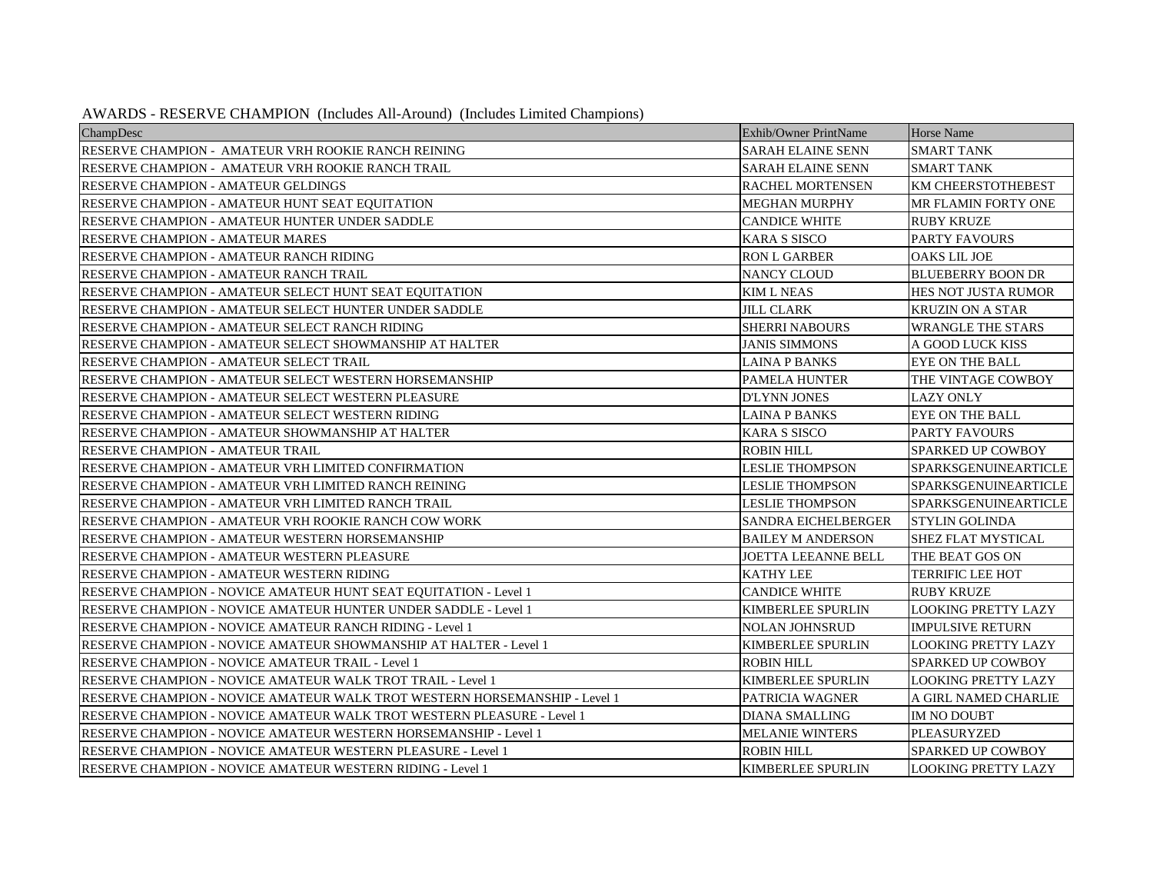| ChampDesc                                                                  | Exhib/Owner PrintName      | Horse Name                  |
|----------------------------------------------------------------------------|----------------------------|-----------------------------|
| RESERVE CHAMPION - AMATEUR VRH ROOKIE RANCH REINING                        | <b>SARAH ELAINE SENN</b>   | <b>SMART TANK</b>           |
| RESERVE CHAMPION - AMATEUR VRH ROOKIE RANCH TRAIL                          | <b>SARAH ELAINE SENN</b>   | <b>SMART TANK</b>           |
| RESERVE CHAMPION - AMATEUR GELDINGS                                        | <b>RACHEL MORTENSEN</b>    | <b>KM CHEERSTOTHEBEST</b>   |
| RESERVE CHAMPION - AMATEUR HUNT SEAT EQUITATION                            | <b>MEGHAN MURPHY</b>       | MR FLAMIN FORTY ONE         |
| RESERVE CHAMPION - AMATEUR HUNTER UNDER SADDLE                             | <b>CANDICE WHITE</b>       | <b>RUBY KRUZE</b>           |
| RESERVE CHAMPION - AMATEUR MARES                                           | <b>KARA S SISCO</b>        | <b>PARTY FAVOURS</b>        |
| RESERVE CHAMPION - AMATEUR RANCH RIDING                                    | <b>RON L GARBER</b>        | <b>OAKS LIL JOE</b>         |
| RESERVE CHAMPION - AMATEUR RANCH TRAIL                                     | <b>NANCY CLOUD</b>         | <b>BLUEBERRY BOON DR</b>    |
| RESERVE CHAMPION - AMATEUR SELECT HUNT SEAT EQUITATION                     | <b>KIM L NEAS</b>          | <b>HES NOT JUSTA RUMOR</b>  |
| RESERVE CHAMPION - AMATEUR SELECT HUNTER UNDER SADDLE                      | <b>JILL CLARK</b>          | <b>KRUZIN ON A STAR</b>     |
| RESERVE CHAMPION - AMATEUR SELECT RANCH RIDING                             | <b>SHERRI NABOURS</b>      | <b>WRANGLE THE STARS</b>    |
| RESERVE CHAMPION - AMATEUR SELECT SHOWMANSHIP AT HALTER                    | <b>JANIS SIMMONS</b>       | A GOOD LUCK KISS            |
| RESERVE CHAMPION - AMATEUR SELECT TRAIL                                    | <b>LAINA P BANKS</b>       | <b>EYE ON THE BALL</b>      |
| RESERVE CHAMPION - AMATEUR SELECT WESTERN HORSEMANSHIP                     | <b>PAMELA HUNTER</b>       | THE VINTAGE COWBOY          |
| RESERVE CHAMPION - AMATEUR SELECT WESTERN PLEASURE                         | <b>D'LYNN JONES</b>        | <b>LAZY ONLY</b>            |
| RESERVE CHAMPION - AMATEUR SELECT WESTERN RIDING                           | <b>LAINA P BANKS</b>       | <b>EYE ON THE BALL</b>      |
| RESERVE CHAMPION - AMATEUR SHOWMANSHIP AT HALTER                           | <b>KARA S SISCO</b>        | <b>PARTY FAVOURS</b>        |
| RESERVE CHAMPION - AMATEUR TRAIL                                           | <b>ROBIN HILL</b>          | <b>SPARKED UP COWBOY</b>    |
| RESERVE CHAMPION - AMATEUR VRH LIMITED CONFIRMATION                        | <b>LESLIE THOMPSON</b>     | SPARKSGENUINEARTICLE        |
| RESERVE CHAMPION - AMATEUR VRH LIMITED RANCH REINING                       | <b>LESLIE THOMPSON</b>     | <b>SPARKSGENUINEARTICLE</b> |
| RESERVE CHAMPION - AMATEUR VRH LIMITED RANCH TRAIL                         | <b>LESLIE THOMPSON</b>     | <b>SPARKSGENUINEARTICLE</b> |
| RESERVE CHAMPION - AMATEUR VRH ROOKIE RANCH COW WORK                       | <b>SANDRA EICHELBERGER</b> | <b>STYLIN GOLINDA</b>       |
| RESERVE CHAMPION - AMATEUR WESTERN HORSEMANSHIP                            | <b>BAILEY M ANDERSON</b>   | <b>SHEZ FLAT MYSTICAL</b>   |
| RESERVE CHAMPION - AMATEUR WESTERN PLEASURE                                | <b>JOETTA LEEANNE BELL</b> | THE BEAT GOS ON             |
| RESERVE CHAMPION - AMATEUR WESTERN RIDING                                  | <b>KATHY LEE</b>           | <b>TERRIFIC LEE HOT</b>     |
| RESERVE CHAMPION - NOVICE AMATEUR HUNT SEAT EQUITATION - Level 1           | <b>CANDICE WHITE</b>       | <b>RUBY KRUZE</b>           |
| RESERVE CHAMPION - NOVICE AMATEUR HUNTER UNDER SADDLE - Level 1            | <b>KIMBERLEE SPURLIN</b>   | <b>LOOKING PRETTY LAZY</b>  |
| RESERVE CHAMPION - NOVICE AMATEUR RANCH RIDING - Level 1                   | <b>NOLAN JOHNSRUD</b>      | <b>IMPULSIVE RETURN</b>     |
| RESERVE CHAMPION - NOVICE AMATEUR SHOWMANSHIP AT HALTER - Level 1          | <b>KIMBERLEE SPURLIN</b>   | LOOKING PRETTY LAZY         |
| RESERVE CHAMPION - NOVICE AMATEUR TRAIL - Level 1                          | <b>ROBIN HILL</b>          | <b>SPARKED UP COWBOY</b>    |
| RESERVE CHAMPION - NOVICE AMATEUR WALK TROT TRAIL - Level 1                | <b>KIMBERLEE SPURLIN</b>   | <b>LOOKING PRETTY LAZY</b>  |
| RESERVE CHAMPION - NOVICE AMATEUR WALK TROT WESTERN HORSEMANSHIP - Level 1 | PATRICIA WAGNER            | A GIRL NAMED CHARLIE        |
| RESERVE CHAMPION - NOVICE AMATEUR WALK TROT WESTERN PLEASURE - Level 1     | <b>DIANA SMALLING</b>      | IM NO DOUBT                 |
| RESERVE CHAMPION - NOVICE AMATEUR WESTERN HORSEMANSHIP - Level 1           | <b>MELANIE WINTERS</b>     | <b>PLEASURYZED</b>          |
| RESERVE CHAMPION - NOVICE AMATEUR WESTERN PLEASURE - Level 1               | <b>ROBIN HILL</b>          | SPARKED UP COWBOY           |
| RESERVE CHAMPION - NOVICE AMATEUR WESTERN RIDING - Level 1                 | <b>KIMBERLEE SPURLIN</b>   | <b>LOOKING PRETTY LAZY</b>  |

AWARDS - RESERVE CHAMPION (Includes All-Around) (Includes Limited Champions)